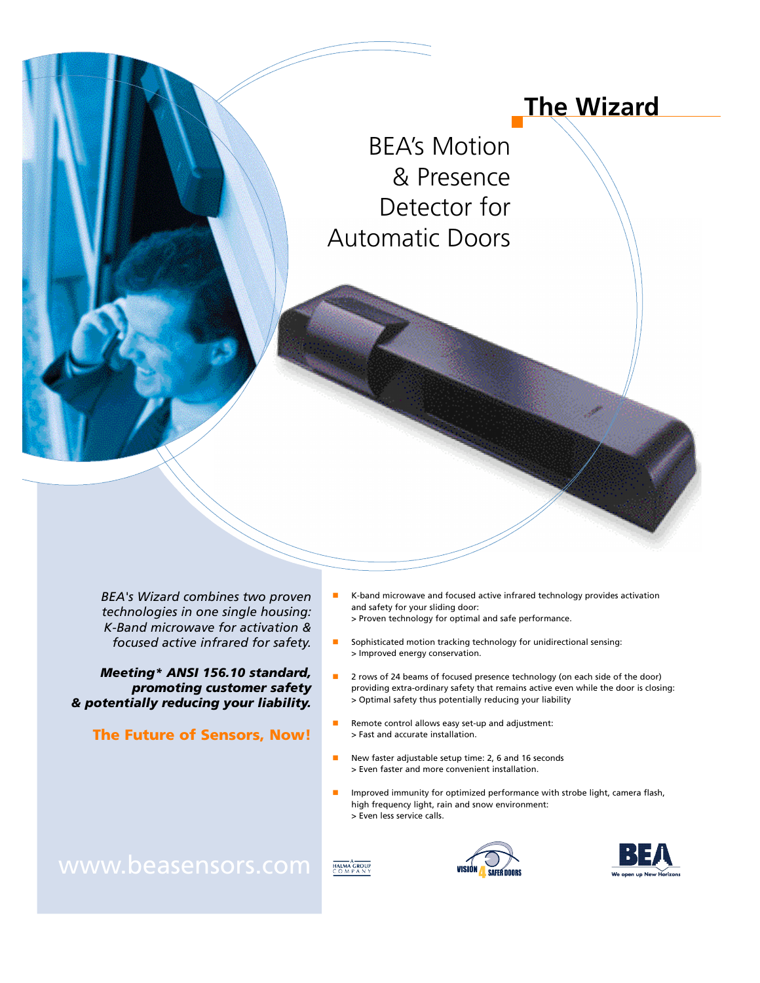# **The Wizard**

BEA's Motion & Presence Detector for Automatic Doors

*BEA's Wizard combines two proven technologies in one single housing: K-Band microwave for activation & focused active infrared for safety.*

*Meeting\* ANSI 156.10 standard, promoting customer safety & potentially reducing your liability.*

The Future of Sensors, Now!

- $\blacksquare$  K-band microwave and focused active infrared technology provides activation and safety for your sliding door: > Proven technology for optimal and safe performance.
- Sophisticated motion tracking technology for unidirectional sensing: > Improved energy conservation.
- **n** 2 rows of 24 beams of focused presence technology (on each side of the door) providing extra-ordinary safety that remains active even while the door is closing: > Optimal safety thus potentially reducing your liability
- Remote control allows easy set-up and adjustment: > Fast and accurate installation.
- New faster adjustable setup time: 2, 6 and 16 seconds > Even faster and more convenient installation.

HALMA GROUP

Improved immunity for optimized performance with strobe light, camera flash, high frequency light, rain and snow environment: > Even less service calls.